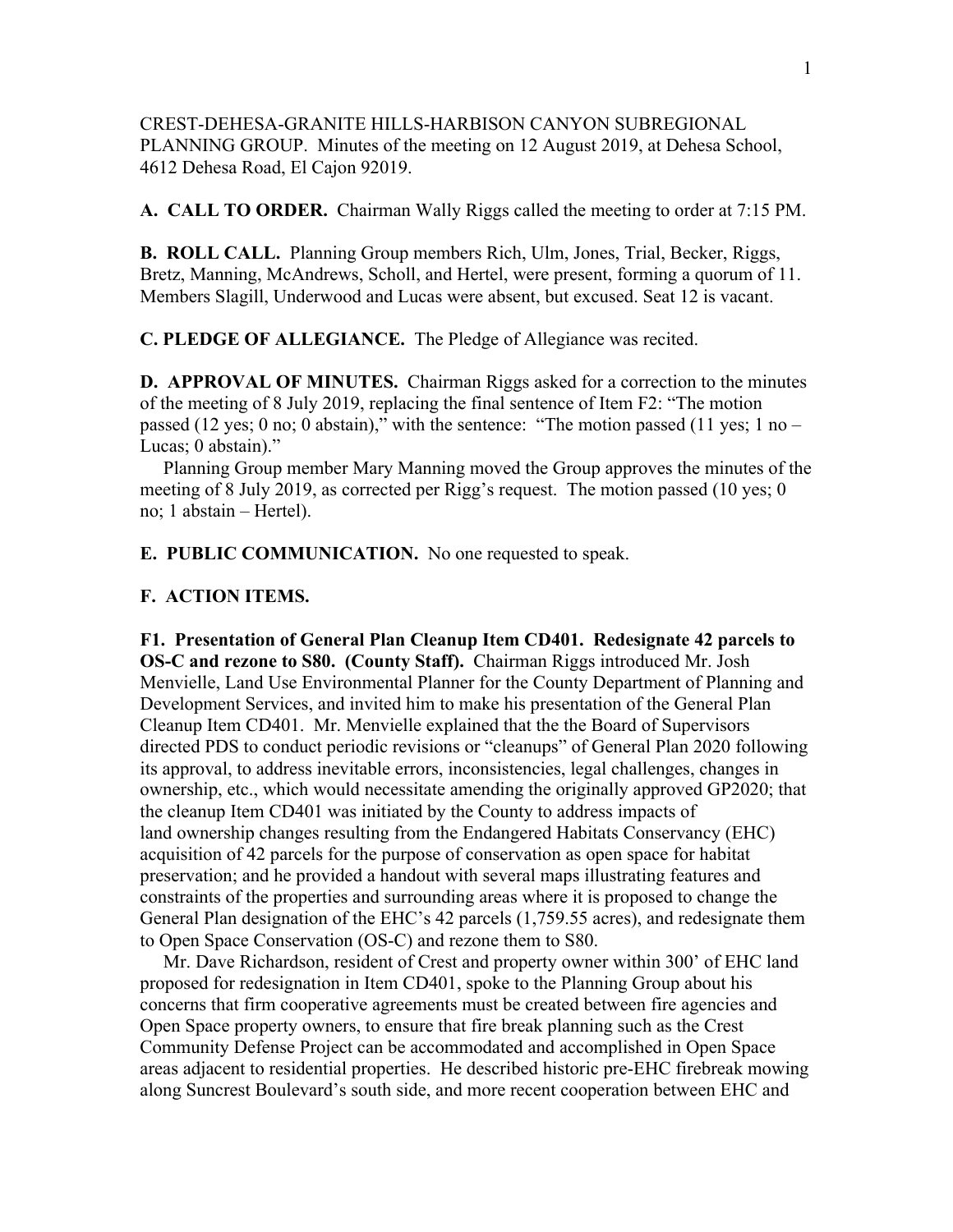CREST-DEHESA-GRANITE HILLS-HARBISON CANYON SUBREGIONAL PLANNING GROUP. Minutes of the meeting on 12 August 2019, at Dehesa School, 4612 Dehesa Road, El Cajon 92019.

**A. CALL TO ORDER.** Chairman Wally Riggs called the meeting to order at 7:15 PM.

**B. ROLL CALL.** Planning Group members Rich, Ulm, Jones, Trial, Becker, Riggs, Bretz, Manning, McAndrews, Scholl, and Hertel, were present, forming a quorum of 11. Members Slagill, Underwood and Lucas were absent, but excused. Seat 12 is vacant.

**C. PLEDGE OF ALLEGIANCE.** The Pledge of Allegiance was recited.

**D. APPROVAL OF MINUTES.** Chairman Riggs asked for a correction to the minutes of the meeting of 8 July 2019, replacing the final sentence of Item F2: "The motion passed (12 yes; 0 no; 0 abstain)," with the sentence: "The motion passed (11 yes; 1 no – Lucas; 0 abstain)."

 Planning Group member Mary Manning moved the Group approves the minutes of the meeting of 8 July 2019, as corrected per Rigg's request. The motion passed (10 yes; 0 no; 1 abstain – Hertel).

**E. PUBLIC COMMUNICATION.** No one requested to speak.

## **F. ACTION ITEMS.**

**F1. Presentation of General Plan Cleanup Item CD401. Redesignate 42 parcels to OS-C and rezone to S80. (County Staff).** Chairman Riggs introduced Mr. Josh Menvielle, Land Use Environmental Planner for the County Department of Planning and Development Services, and invited him to make his presentation of the General Plan Cleanup Item CD401. Mr. Menvielle explained that the the Board of Supervisors directed PDS to conduct periodic revisions or "cleanups" of General Plan 2020 following its approval, to address inevitable errors, inconsistencies, legal challenges, changes in ownership, etc., which would necessitate amending the originally approved GP2020; that the cleanup Item CD401 was initiated by the County to address impacts of land ownership changes resulting from the Endangered Habitats Conservancy (EHC) acquisition of 42 parcels for the purpose of conservation as open space for habitat preservation; and he provided a handout with several maps illustrating features and constraints of the properties and surrounding areas where it is proposed to change the General Plan designation of the EHC's 42 parcels (1,759.55 acres), and redesignate them to Open Space Conservation (OS-C) and rezone them to S80.

 Mr. Dave Richardson, resident of Crest and property owner within 300' of EHC land proposed for redesignation in Item CD401, spoke to the Planning Group about his concerns that firm cooperative agreements must be created between fire agencies and Open Space property owners, to ensure that fire break planning such as the Crest Community Defense Project can be accommodated and accomplished in Open Space areas adjacent to residential properties. He described historic pre-EHC firebreak mowing along Suncrest Boulevard's south side, and more recent cooperation between EHC and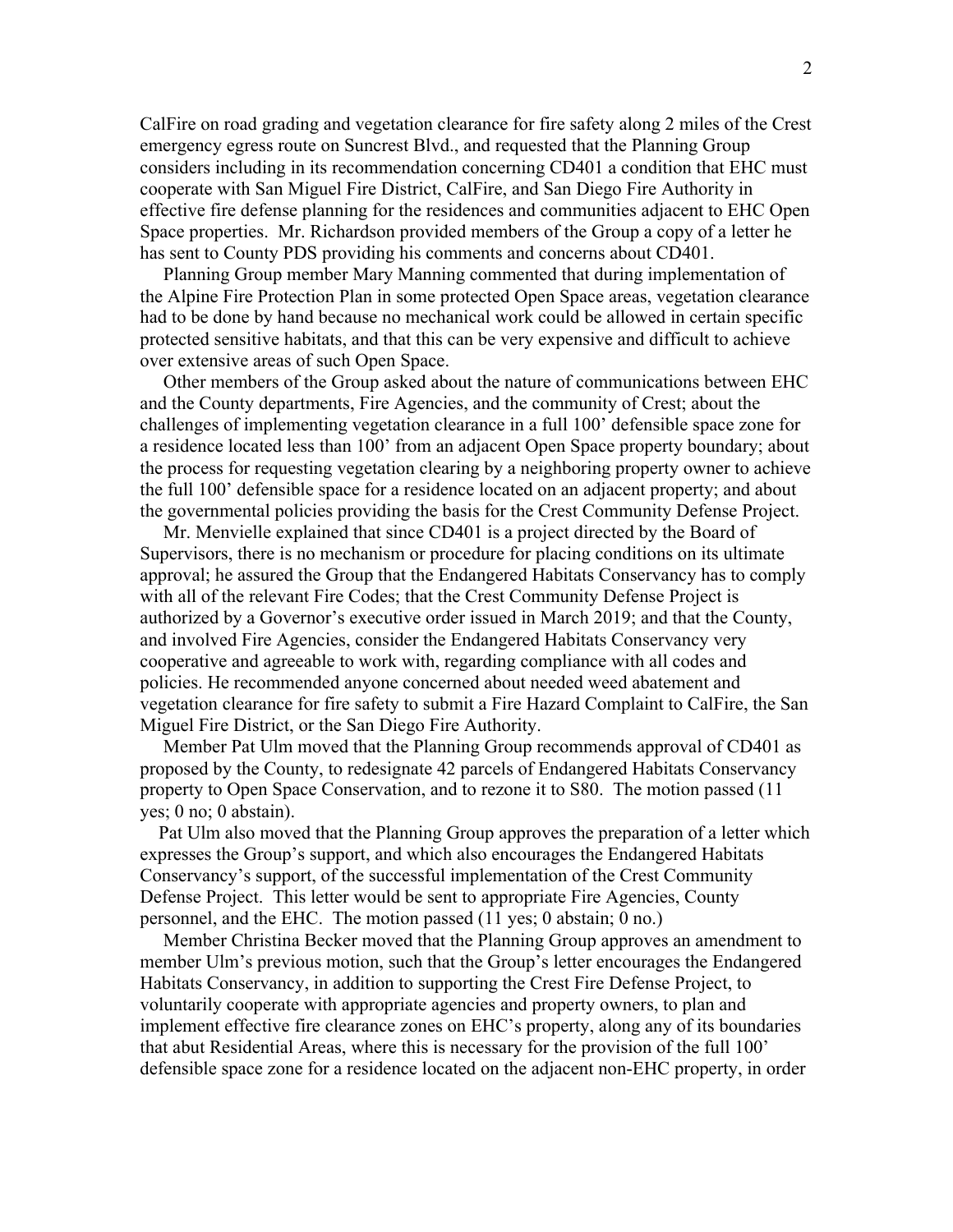CalFire on road grading and vegetation clearance for fire safety along 2 miles of the Crest emergency egress route on Suncrest Blvd., and requested that the Planning Group considers including in its recommendation concerning CD401 a condition that EHC must cooperate with San Miguel Fire District, CalFire, and San Diego Fire Authority in effective fire defense planning for the residences and communities adjacent to EHC Open Space properties. Mr. Richardson provided members of the Group a copy of a letter he has sent to County PDS providing his comments and concerns about CD401.

 Planning Group member Mary Manning commented that during implementation of the Alpine Fire Protection Plan in some protected Open Space areas, vegetation clearance had to be done by hand because no mechanical work could be allowed in certain specific protected sensitive habitats, and that this can be very expensive and difficult to achieve over extensive areas of such Open Space.

 Other members of the Group asked about the nature of communications between EHC and the County departments, Fire Agencies, and the community of Crest; about the challenges of implementing vegetation clearance in a full 100' defensible space zone for a residence located less than 100' from an adjacent Open Space property boundary; about the process for requesting vegetation clearing by a neighboring property owner to achieve the full 100' defensible space for a residence located on an adjacent property; and about the governmental policies providing the basis for the Crest Community Defense Project.

 Mr. Menvielle explained that since CD401 is a project directed by the Board of Supervisors, there is no mechanism or procedure for placing conditions on its ultimate approval; he assured the Group that the Endangered Habitats Conservancy has to comply with all of the relevant Fire Codes; that the Crest Community Defense Project is authorized by a Governor's executive order issued in March 2019; and that the County, and involved Fire Agencies, consider the Endangered Habitats Conservancy very cooperative and agreeable to work with, regarding compliance with all codes and policies. He recommended anyone concerned about needed weed abatement and vegetation clearance for fire safety to submit a Fire Hazard Complaint to CalFire, the San Miguel Fire District, or the San Diego Fire Authority.

 Member Pat Ulm moved that the Planning Group recommends approval of CD401 as proposed by the County, to redesignate 42 parcels of Endangered Habitats Conservancy property to Open Space Conservation, and to rezone it to S80. The motion passed (11 yes; 0 no; 0 abstain).

 Pat Ulm also moved that the Planning Group approves the preparation of a letter which expresses the Group's support, and which also encourages the Endangered Habitats Conservancy's support, of the successful implementation of the Crest Community Defense Project. This letter would be sent to appropriate Fire Agencies, County personnel, and the EHC. The motion passed (11 yes; 0 abstain; 0 no.)

 Member Christina Becker moved that the Planning Group approves an amendment to member Ulm's previous motion, such that the Group's letter encourages the Endangered Habitats Conservancy, in addition to supporting the Crest Fire Defense Project, to voluntarily cooperate with appropriate agencies and property owners, to plan and implement effective fire clearance zones on EHC's property, along any of its boundaries that abut Residential Areas, where this is necessary for the provision of the full 100' defensible space zone for a residence located on the adjacent non-EHC property, in order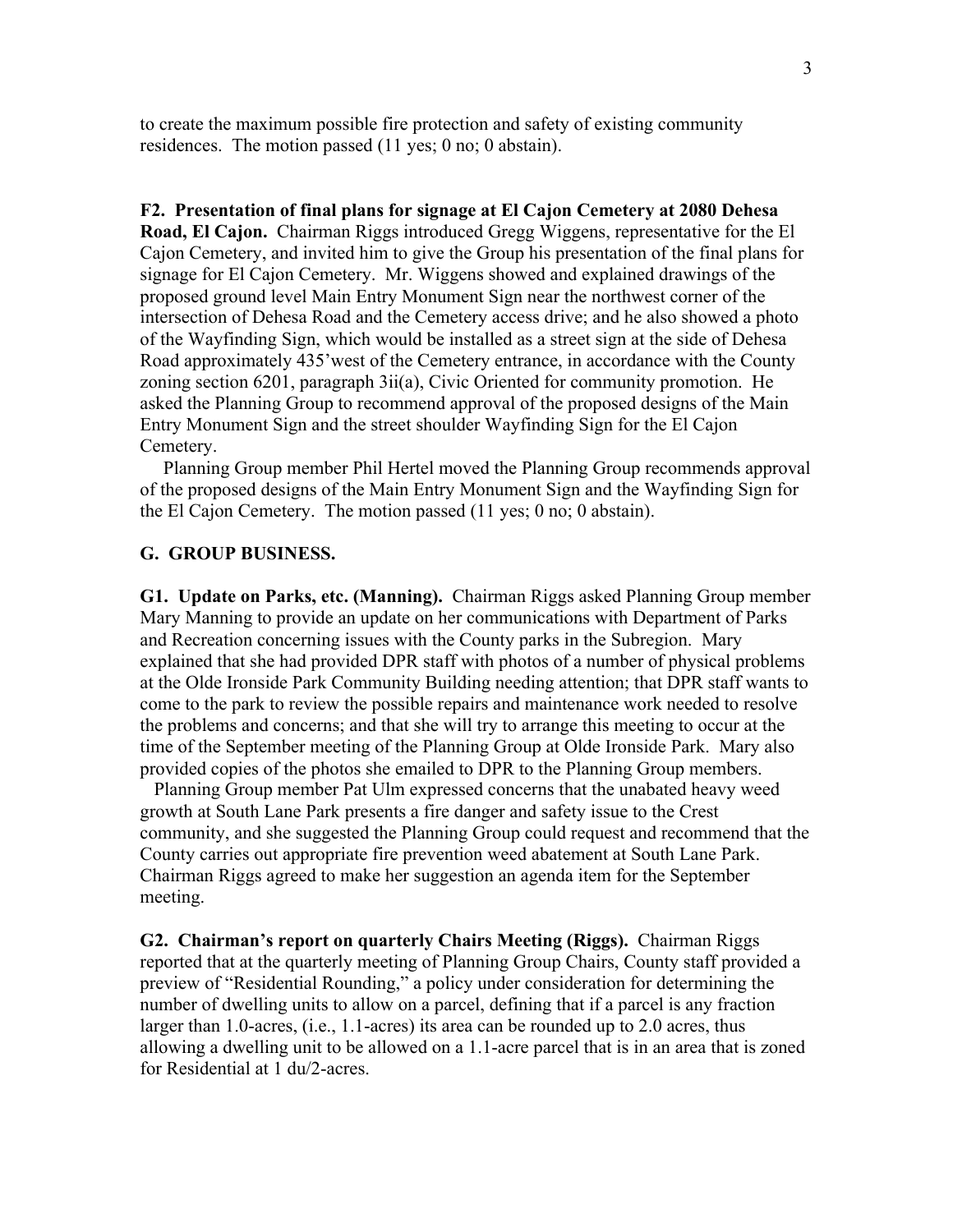to create the maximum possible fire protection and safety of existing community residences. The motion passed (11 yes; 0 no; 0 abstain).

## **F2. Presentation of final plans for signage at El Cajon Cemetery at 2080 Dehesa**

**Road, El Cajon.** Chairman Riggs introduced Gregg Wiggens, representative for the El Cajon Cemetery, and invited him to give the Group his presentation of the final plans for signage for El Cajon Cemetery. Mr. Wiggens showed and explained drawings of the proposed ground level Main Entry Monument Sign near the northwest corner of the intersection of Dehesa Road and the Cemetery access drive; and he also showed a photo of the Wayfinding Sign, which would be installed as a street sign at the side of Dehesa Road approximately 435'west of the Cemetery entrance, in accordance with the County zoning section 6201, paragraph 3ii(a), Civic Oriented for community promotion. He asked the Planning Group to recommend approval of the proposed designs of the Main Entry Monument Sign and the street shoulder Wayfinding Sign for the El Cajon Cemetery.

 Planning Group member Phil Hertel moved the Planning Group recommends approval of the proposed designs of the Main Entry Monument Sign and the Wayfinding Sign for the El Cajon Cemetery. The motion passed (11 yes; 0 no; 0 abstain).

## **G. GROUP BUSINESS.**

**G1. Update on Parks, etc. (Manning).** Chairman Riggs asked Planning Group member Mary Manning to provide an update on her communications with Department of Parks and Recreation concerning issues with the County parks in the Subregion. Mary explained that she had provided DPR staff with photos of a number of physical problems at the Olde Ironside Park Community Building needing attention; that DPR staff wants to come to the park to review the possible repairs and maintenance work needed to resolve the problems and concerns; and that she will try to arrange this meeting to occur at the time of the September meeting of the Planning Group at Olde Ironside Park. Mary also provided copies of the photos she emailed to DPR to the Planning Group members.

 Planning Group member Pat Ulm expressed concerns that the unabated heavy weed growth at South Lane Park presents a fire danger and safety issue to the Crest community, and she suggested the Planning Group could request and recommend that the County carries out appropriate fire prevention weed abatement at South Lane Park. Chairman Riggs agreed to make her suggestion an agenda item for the September meeting.

**G2. Chairman's report on quarterly Chairs Meeting (Riggs).** Chairman Riggs reported that at the quarterly meeting of Planning Group Chairs, County staff provided a preview of "Residential Rounding," a policy under consideration for determining the number of dwelling units to allow on a parcel, defining that if a parcel is any fraction larger than 1.0-acres, (i.e., 1.1-acres) its area can be rounded up to 2.0 acres, thus allowing a dwelling unit to be allowed on a 1.1-acre parcel that is in an area that is zoned for Residential at 1 du/2-acres.